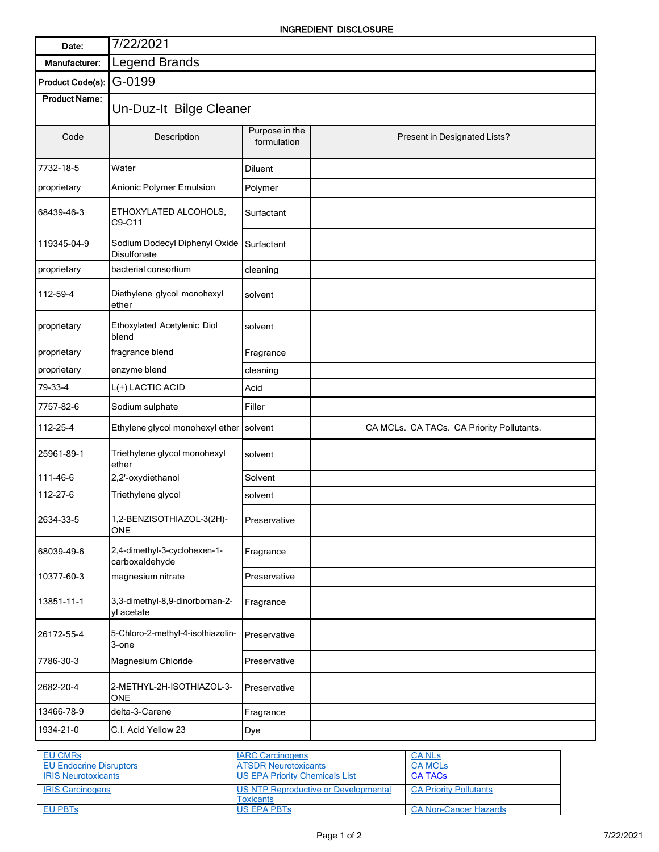## INGREDIENT DISCLOSURE

| Date:                | 7/22/2021                                      |                               |                                           |  |  |
|----------------------|------------------------------------------------|-------------------------------|-------------------------------------------|--|--|
| Manufacturer:        | <b>Legend Brands</b>                           |                               |                                           |  |  |
| Product Code(s):     | G-0199<br>Un-Duz-It Bilge Cleaner              |                               |                                           |  |  |
| <b>Product Name:</b> |                                                |                               |                                           |  |  |
| Code                 | Description                                    | Purpose in the<br>formulation | Present in Designated Lists?              |  |  |
| 7732-18-5            | Water                                          | <b>Diluent</b>                |                                           |  |  |
| proprietary          | Anionic Polymer Emulsion                       | Polymer                       |                                           |  |  |
| 68439-46-3           | ETHOXYLATED ALCOHOLS,<br>C9-C11                | Surfactant                    |                                           |  |  |
| 119345-04-9          | Sodium Dodecyl Diphenyl Oxide<br>Disulfonate   | Surfactant                    |                                           |  |  |
| proprietary          | bacterial consortium                           | cleaning                      |                                           |  |  |
| 112-59-4             | Diethylene glycol monohexyl<br>ether           | solvent                       |                                           |  |  |
| proprietary          | Ethoxylated Acetylenic Diol<br>blend           | solvent                       |                                           |  |  |
| proprietary          | fragrance blend                                | Fragrance                     |                                           |  |  |
| proprietary          | enzyme blend                                   | cleaning                      |                                           |  |  |
| 79-33-4              | L(+) LACTIC ACID                               | Acid                          |                                           |  |  |
| 7757-82-6            | Sodium sulphate                                | Filler                        |                                           |  |  |
| 112-25-4             | Ethylene glycol monohexyl ether solvent        |                               | CA MCLs. CA TACs. CA Priority Pollutants. |  |  |
| 25961-89-1           | Triethylene glycol monohexyl<br>ether          | solvent                       |                                           |  |  |
| 111-46-6             | 2,2'-oxydiethanol                              | Solvent                       |                                           |  |  |
| 112-27-6             | Triethylene glycol                             | solvent                       |                                           |  |  |
| 2634-33-5            | 1,2-BENZISOTHIAZOL-3(2H)-<br><b>ONE</b>        | Preservative                  |                                           |  |  |
| 68039-49-6           | 2,4-dimethyl-3-cyclohexen-1-<br>carboxaldehyde | Fragrance                     |                                           |  |  |
| 10377-60-3           | magnesium nitrate                              | Preservative                  |                                           |  |  |
| 13851-11-1           | 3,3-dimethyl-8,9-dinorbornan-2-<br>vl acetate  | Fragrance                     |                                           |  |  |
| 26172-55-4           | 5-Chloro-2-methyl-4-isothiazolin-<br>3-one     | Preservative                  |                                           |  |  |
| 7786-30-3            | Magnesium Chloride                             | Preservative                  |                                           |  |  |
| 2682-20-4            | 2-METHYL-2H-ISOTHIAZOL-3-<br>ONE               | Preservative                  |                                           |  |  |
| 13466-78-9           | delta-3-Carene                                 | Fragrance                     |                                           |  |  |
| 1934-21-0            | C.I. Acid Yellow 23                            | Dye                           |                                           |  |  |

| <b>EU CMRs</b>                 | <b>IARC Carcinogens</b>                                  | <b>CA NLs</b>                 |
|--------------------------------|----------------------------------------------------------|-------------------------------|
| <b>EU Endocrine Disruptors</b> | <b>ATSDR Neurotoxicants</b>                              | <b>CA MCLs</b>                |
| <b>IRIS Neurotoxicants</b>     | <b>US EPA Priority Chemicals List</b>                    | <b>CA TACS</b>                |
| <b>IRIS Carcinogens</b>        | US NTP Reproductive or Developmental<br><b>Toxicants</b> | <b>CA Priority Pollutants</b> |
| <b>EU PBTs</b>                 | <b>US EPA PBTs</b>                                       | <b>CA Non-Cancer Hazards</b>  |